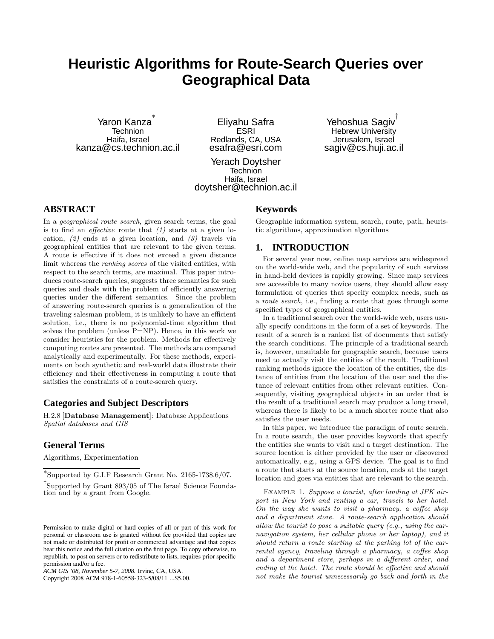# **Heuristic Algorithms for Route-Search Queries over Geographical Data**

Yaron Kanza ∗ **Technion** Haifa, Israel kanza@cs.technion.ac.il

Eliyahu Safra ESRI Redlands, CA, USA esafra@esri.com

Yehoshua Sagiv $^\dagger$ Hebrew University Jerusalem, Israel sagiv@cs.huji.ac.il

Yerach Doytsher **Technion** Haifa, Israel doytsher@technion.ac.il

# **ABSTRACT**

In a geographical route search, given search terms, the goal is to find an *effective* route that  $(1)$  starts at a given location,  $(2)$  ends at a given location, and  $(3)$  travels via geographical entities that are relevant to the given terms. A route is effective if it does not exceed a given distance limit whereas the ranking scores of the visited entities, with respect to the search terms, are maximal. This paper introduces route-search queries, suggests three semantics for such queries and deals with the problem of efficiently answering queries under the different semantics. Since the problem of answering route-search queries is a generalization of the traveling salesman problem, it is unlikely to have an efficient solution, i.e., there is no polynomial-time algorithm that solves the problem (unless  $P=NP$ ). Hence, in this work we consider heuristics for the problem. Methods for effectively computing routes are presented. The methods are compared analytically and experimentally. For these methods, experiments on both synthetic and real-world data illustrate their efficiency and their effectiveness in computing a route that satisfies the constraints of a route-search query.

# **Categories and Subject Descriptors**

H.2.8 [Database Management]: Database Applications— Spatial databases and GIS

# **General Terms**

Algorithms, Experimentation

Copyright 2008 ACM 978-1-60558-323-5/08/11 ...\$5.00.

# **Keywords**

Geographic information system, search, route, path, heuristic algorithms, approximation algorithms

# **1. INTRODUCTION**

For several year now, online map services are widespread on the world-wide web, and the popularity of such services in hand-held devices is rapidly growing. Since map services are accessible to many novice users, they should allow easy formulation of queries that specify complex needs, such as a route search, i.e., finding a route that goes through some specified types of geographical entities.

In a traditional search over the world-wide web, users usually specify conditions in the form of a set of keywords. The result of a search is a ranked list of documents that satisfy the search conditions. The principle of a traditional search is, however, unsuitable for geographic search, because users need to actually visit the entities of the result. Traditional ranking methods ignore the location of the entities, the distance of entities from the location of the user and the distance of relevant entities from other relevant entities. Consequently, visiting geographical objects in an order that is the result of a traditional search may produce a long travel, whereas there is likely to be a much shorter route that also satisfies the user needs.

In this paper, we introduce the paradigm of route search. In a route search, the user provides keywords that specify the entities she wants to visit and a target destination. The source location is either provided by the user or discovered automatically, e.g., using a GPS device. The goal is to find a route that starts at the source location, ends at the target location and goes via entities that are relevant to the search.

EXAMPLE 1. Suppose a tourist, after landing at JFK airport in New York and renting a car, travels to her hotel. On the way she wants to visit a pharmacy, a coffee shop and a department store. A route-search application should allow the tourist to pose a suitable query (e.g., using the carnavigation system, her cellular phone or her laptop), and it should return a route starting at the parking lot of the carrental agency, traveling through a pharmacy, a coffee shop and a department store, perhaps in a different order, and ending at the hotel. The route should be effective and should not make the tourist unnecessarily go back and forth in the

<sup>∗</sup> Supported by G.I.F Research Grant No. 2165-1738.6/07. † Supported by Grant 893/05 of The Israel Science Foundation and by a grant from Google.

Permission to make digital or hard copies of all or part of this work for personal or classroom use is granted without fee provided that copies are not made or distributed for profit or commercial advantage and that copies bear this notice and the full citation on the first page. To copy otherwise, to republish, to post on servers or to redistribute to lists, requires prior specific permission and/or a fee.

*ACM GIS '08, November 5-7, 2008.* Irvine, CA, USA.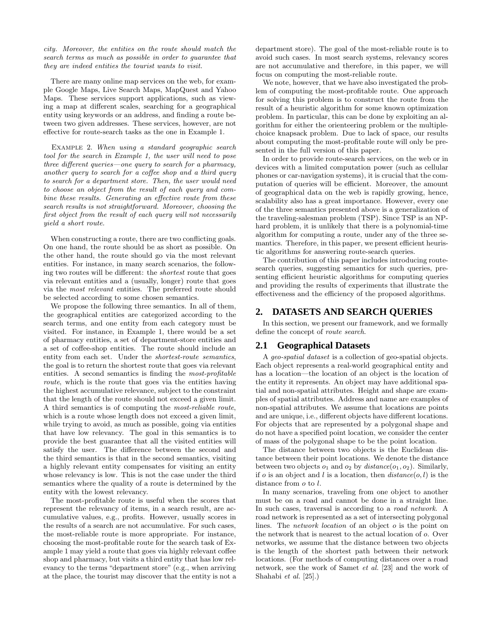city. Moreover, the entities on the route should match the search terms as much as possible in order to guarantee that they are indeed entities the tourist wants to visit.

There are many online map services on the web, for example Google Maps, Live Search Maps, MapQuest and Yahoo Maps. These services support applications, such as viewing a map at different scales, searching for a geographical entity using keywords or an address, and finding a route between two given addresses. These services, however, are not effective for route-search tasks as the one in Example 1.

EXAMPLE 2. When using a standard geographic search tool for the search in Example 1, the user will need to pose three different queries—one query to search for a pharmacy, another query to search for a coffee shop and a third query to search for a department store. Then, the user would need to choose an object from the result of each query and combine these results. Generating an effective route from these search results is not straightforward. Moreover, choosing the first object from the result of each query will not necessarily yield a short route.

When constructing a route, there are two conflicting goals. On one hand, the route should be as short as possible. On the other hand, the route should go via the most relevant entities. For instance, in many search scenarios, the following two routes will be different: the shortest route that goes via relevant entities and a (usually, longer) route that goes via the most relevant entities. The preferred route should be selected according to some chosen semantics.

We propose the following three semantics. In all of them, the geographical entities are categorized according to the search terms, and one entity from each category must be visited. For instance, in Example 1, there would be a set of pharmacy entities, a set of department-store entities and a set of coffee-shop entities. The route should include an entity from each set. Under the shortest-route semantics, the goal is to return the shortest route that goes via relevant entities. A second semantics is finding the most-profitable route, which is the route that goes via the entities having the highest accumulative relevance, subject to the constraint that the length of the route should not exceed a given limit. A third semantics is of computing the most-reliable route, which is a route whose length does not exceed a given limit, while trying to avoid, as much as possible, going via entities that have low relevancy. The goal in this semantics is to provide the best guarantee that all the visited entities will satisfy the user. The difference between the second and the third semantics is that in the second semantics, visiting a highly relevant entity compensates for visiting an entity whose relevancy is low. This is not the case under the third semantics where the quality of a route is determined by the entity with the lowest relevancy.

The most-profitable route is useful when the scores that represent the relevancy of items, in a search result, are accumulative values, e.g., profits. However, usually scores in the results of a search are not accumulative. For such cases, the most-reliable route is more appropriate. For instance, choosing the most-profitable route for the search task of Example 1 may yield a route that goes via highly relevant coffee shop and pharmacy, but visits a third entity that has low relevancy to the terms "department store" (e.g., when arriving at the place, the tourist may discover that the entity is not a

department store). The goal of the most-reliable route is to avoid such cases. In most search systems, relevancy scores are not accumulative and therefore, in this paper, we will focus on computing the most-reliable route.

We note, however, that we have also investigated the problem of computing the most-profitable route. One approach for solving this problem is to construct the route from the result of a heuristic algorithm for some known optimization problem. In particular, this can be done by exploiting an algorithm for either the orienteering problem or the multiplechoice knapsack problem. Due to lack of space, our results about computing the most-profitable route will only be presented in the full version of this paper.

In order to provide route-search services, on the web or in devices with a limited computation power (such as cellular phones or car-navigation systems), it is crucial that the computation of queries will be efficient. Moreover, the amount of geographical data on the web is rapidly growing, hence, scalability also has a great importance. However, every one of the three semantics presented above is a generalization of the traveling-salesman problem (TSP). Since TSP is an NPhard problem, it is unlikely that there is a polynomial-time algorithm for computing a route, under any of the three semantics. Therefore, in this paper, we present efficient heuristic algorithms for answering route-search queries.

The contribution of this paper includes introducing routesearch queries, suggesting semantics for such queries, presenting efficient heuristic algorithms for computing queries and providing the results of experiments that illustrate the effectiveness and the efficiency of the proposed algorithms.

# **2. DATASETS AND SEARCH QUERIES**

In this section, we present our framework, and we formally define the concept of route search.

# **2.1 Geographical Datasets**

A *geo-spatial dataset* is a collection of geo-spatial objects. Each object represents a real-world geographical entity and has a location—the location of an object is the location of the entity it represents. An object may have additional spatial and non-spatial attributes. Height and shape are examples of spatial attributes. Address and name are examples of non-spatial attributes. We assume that locations are points and are unique, i.e., different objects have different locations. For objects that are represented by a polygonal shape and do not have a specified point location, we consider the center of mass of the polygonal shape to be the point location.

The distance between two objects is the Euclidean distance between their point locations. We denote the distance between two objects  $o_1$  and  $o_2$  by distance( $o_1, o_2$ ). Similarly, if o is an object and l is a location, then  $distance(o, l)$  is the distance from  $o$  to  $l$ .

In many scenarios, traveling from one object to another must be on a road and cannot be done in a straight line. In such cases, traversal is according to a road network. A road network is represented as a set of intersecting polygonal lines. The network location of an object o is the point on the network that is nearest to the actual location of o. Over networks, we assume that the distance between two objects is the length of the shortest path between their network locations. (For methods of computing distances over a road network, see the work of Samet et al. [23] and the work of Shahabi et al. [25].)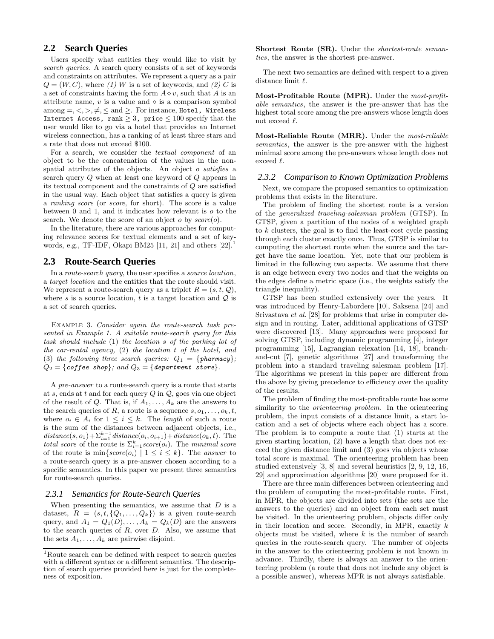# **2.2 Search Queries**

Users specify what entities they would like to visit by search queries. A search query consists of a set of keywords and constraints on attributes. We represent a query as a pair  $Q = (W, C)$ , where (1) W is a set of keywords, and (2) C is a set of constraints having the form  $A \diamond v$ , such that A is an attribute name,  $v$  is a value and  $\diamond$  is a comparison symbol among  $=, <, >, \neq, \leq$  and  $\geq$ . For instance, Hotel, Wireless Internet Access, rank  $\geq 3$ , price  $\leq 100$  specify that the user would like to go via a hotel that provides an Internet wireless connection, has a ranking of at least three stars and a rate that does not exceed \$100.

For a search, we consider the textual component of an object to be the concatenation of the values in the nonspatial attributes of the objects. An object o satisfies a search query Q when at least one keyword of Q appears in its textual component and the constraints of Q are satisfied in the usual way. Each object that satisfies a query is given a ranking score (or score, for short). The score is a value between 0 and 1, and it indicates how relevant is o to the search. We denote the score of an object  $o$  by  $score(o)$ .

In the literature, there are various approaches for computing relevance scores for textual elements and a set of keywords, e.g., TF-IDF, Okapi BM25 [11, 21] and others  $[22].<sup>1</sup>$ 

# **2.3 Route-Search Queries**

In a *route-search query*, the user specifies a *source location*, a target location and the entities that the route should visit. We represent a route-search query as a triplet  $R = (s, t, Q)$ , where s is a source location, t is a target location and  $\mathcal{Q}$  is a set of search queries.

EXAMPLE 3. Consider again the route-search task presented in Example 1. A suitable route-search query for this task should include (1) the location s of the parking lot of the car-rental agency, (2) the location t of the hotel, and (3) the following three search queries:  $Q_1 = \{phamacy\}$ ;  $Q_2 = \{ \text{cofree shop} \};$  and  $Q_3 = \{ \text{department store} \}.$ 

A pre-answer to a route-search query is a route that starts at s, ends at t and for each query  $Q$  in  $Q$ , goes via one object of the result of Q. That is, if  $A_1, \ldots, A_k$  are the answers to the search queries of R, a route is a sequence  $s, o_1, \ldots, o_k, t$ , where  $o_i \in A_i$  for  $1 \leq i \leq k$ . The length of such a route is the sum of the distances between adjacent objects, i.e.,  $distance(s, o_1) + \sum_{i=1}^{k-1} distance(o_i, o_{i+1}) + distance(o_k, t)$ . The *total score* of the route is  $\Sigma_{i=1}^k score(o_i)$ . The minimal score of the route is  $\min\{score(o_i) | 1 \leq i \leq k\}$ . The answer to a route-search query is a pre-answer chosen according to a specific semantics. In this paper we present three semantics for route-search queries.

#### *2.3.1 Semantics for Route-Search Queries*

When presenting the semantics, we assume that  $D$  is a dataset,  $R = (s, t, \{Q_1, \ldots, Q_k\})$  is a given route-search query, and  $A_1 = Q_1(D), \ldots, A_k = Q_k(D)$  are the answers to the search queries of  $R$ , over  $D$ . Also, we assume that the sets  $A_1, \ldots, A_k$  are pairwise disjoint.

Shortest Route (SR). Under the *shortest-route seman*tics, the answer is the shortest pre-answer.

The next two semantics are defined with respect to a given distance limit  $\ell$ .

Most-Profitable Route (MPR). Under the most-profitable semantics, the answer is the pre-answer that has the highest total score among the pre-answers whose length does not exceed  $\ell$ .

Most-Reliable Route (MRR). Under the most-reliable semantics, the answer is the pre-answer with the highest minimal score among the pre-answers whose length does not exceed  $\ell$ .

#### *2.3.2 Comparison to Known Optimization Problems*

Next, we compare the proposed semantics to optimization problems that exists in the literature.

The problem of finding the shortest route is a version of the generalized traveling-salesman problem (GTSP). In GTSP, given a partition of the nodes of a weighted graph to k clusters, the goal is to find the least-cost cycle passing through each cluster exactly once. Thus, GTSP is similar to computing the shortest route when the source and the target have the same location. Yet, note that our problem is limited in the following two aspects. We assume that there is an edge between every two nodes and that the weights on the edges define a metric space (i.e., the weights satisfy the triangle inequality).

GTSP has been studied extensively over the years. It was introduced by Henry-Labordere [10], Saksena [24] and Srivastava et al. [28] for problems that arise in computer design and in routing. Later, additional applications of GTSP were discovered [13]. Many approaches were proposed for solving GTSP, including dynamic programming [4], integer programming [15], Lagrangian relexation [14, 18], branchand-cut [7], genetic algorithms [27] and transforming the problem into a standard traveling salesman problem [17]. The algorithms we present in this paper are different from the above by giving precedence to efficiency over the quality of the results.

The problem of finding the most-profitable route has some similarity to the *orienteering problem*. In the orienteering problem, the input consists of a distance limit, a start location and a set of objects where each object has a score. The problem is to compute a route that (1) starts at the given starting location, (2) have a length that does not exceed the given distance limit and (3) goes via objects whose total score is maximal. The orienteering problem has been studied extensively [3, 8] and several heuristics [2, 9, 12, 16, 29] and approximation algorithms [20] were proposed for it.

There are three main differences between orienteering and the problem of computing the most-profitable route. First, in MPR, the objects are divided into sets (the sets are the answers to the queries) and an object from each set must be visited. In the orienteering problem, objects differ only in their location and score. Secondly, in MPR, exactly  $k$ objects must be visited, where  $k$  is the number of search queries in the route-search query. The number of objects in the answer to the orienteering problem is not known in advance. Thirdly, there is always an answer to the orienteering problem (a route that does not include any object is a possible answer), whereas MPR is not always satisfiable.

<sup>1</sup>Route search can be defined with respect to search queries with a different syntax or a different semantics. The description of search queries provided here is just for the completeness of exposition.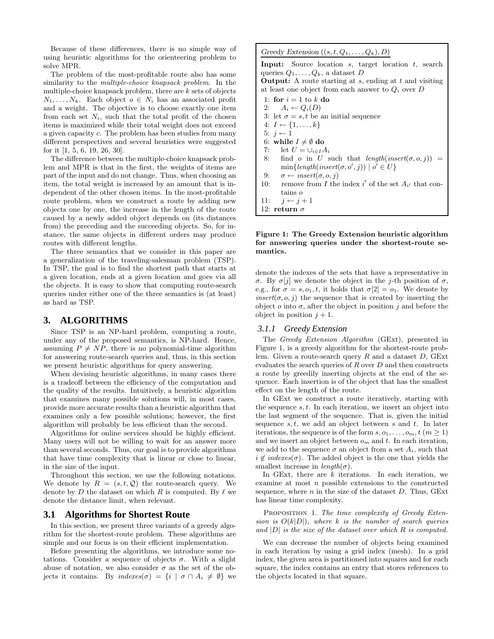Because of these differences, there is no simple way of using heuristic algorithms for the orienteering problem to solve MPR.

The problem of the most-profitable route also has some similarity to the multiple-choice knapsack problem. In the multiple-choice knapsack problem, there are  $k$  sets of objects  $N_1, \ldots, N_k$ . Each object  $o \in N_i$  has an associated profit and a weight. The objective is to choose exactly one item from each set  $N_i$ , such that the total profit of the chosen items is maximized while their total weight does not exceed a given capacity c. The problem has been studies from many different perspectives and several heuristics were suggested for it [1, 5, 6, 19, 26, 30].

The difference between the multiple-choice knapsack problem and MPR is that in the first, the weights of items are part of the input and do not change. Thus, when choosing an item, the total weight is increased by an amount that is independent of the other chosen items. In the most-profitable route problem, when we construct a route by adding new objects one by one, the increase in the length of the route caused by a newly added object depends on (its distances from) the preceding and the succeeding objects. So, for instance, the same objects in different orders may produce routes with different lengths.

The three semantics that we consider in this paper are a generalization of the traveling-salesman problem (TSP). In TSP, the goal is to find the shortest path that starts at a given location, ends at a given location and goes via all the objects. It is easy to show that computing route-search queries under either one of the three semantics is (at least) as hard as TSP.

## **3. ALGORITHMS**

Since TSP is an NP-hard problem, computing a route, under any of the proposed semantics, is NP-hard. Hence, assuming  $P \neq NP$ , there is no polynomial-time algorithm for answering route-search queries and, thus, in this section we present heuristic algorithms for query answering.

When devising heuristic algorithms, in many cases there is a tradeoff between the efficiency of the computation and the quality of the results. Intuitively, a heuristic algorithm that examines many possible solutions will, in most cases, provide more accurate results than a heuristic algorithm that examines only a few possible solutions; however, the first algorithm will probably be less efficient than the second.

Algorithms for online services should be highly efficient. Many users will not be willing to wait for an answer more than several seconds. Thus, our goal is to provide algorithms that have time complexity that is linear or close to linear, in the size of the input.

Throughout this section, we use the following notations. We denote by  $R = (s, t, Q)$  the route-search query. We denote by D the dataset on which R is computed. By  $\ell$  we denote the distance limit, when relevant.

#### **3.1 Algorithms for Shortest Route**

In this section, we present three variants of a greedy algorithm for the shortest-route problem. These algorithms are simple and our focus is on their efficient implementation.

Before presenting the algorithms, we introduce some notations. Consider a sequence of objects  $\sigma$ . With a slight abuse of notation, we also consider  $\sigma$  as the set of the objects it contains. By  $\text{inders}(\sigma) = \{i \mid \sigma \cap A_i \neq \emptyset\}$  we

Greedy Extension  $((s, t, Q_1, \ldots, Q_k), D)$ **Input:** Source location  $s$ , target location  $t$ , search queries  $Q_1, \ldots, Q_k$ , a dataset D **Output:** A route starting at  $s$ , ending at  $t$  and visiting at least one object from each answer to  $Q_i$  over  $D$ 1: for  $i = 1$  to k do 2:  $A_i \leftarrow Q_i(D)$ 3: let  $\sigma = s, t$  be an initial sequence 4:  $I \leftarrow \{1, \ldots, k\}$ 5:  $j \leftarrow 1$ 6: while  $I \neq \emptyset$  do 7: let  $U = \bigcup_{i \in I} A_i$ 8: find o in U such that  $length(inset(\sigma, o, j))$  =  $\min\{length(insert(\sigma, o', j)) \mid o' \in U\}$ 9:  $\sigma \leftarrow insert(\sigma, o, j)$ 10: remove from *I* the index i' of the set  $A_{i'}$  that contains o 11:  $j \leftarrow j + 1$ 12: return  $\sigma$ 

#### Figure 1: The Greedy Extension heuristic algorithm for answering queries under the shortest-route semantics.

denote the indexes of the sets that have a representative in σ. By σ[j] we denote the object in the j-th position of σ, e.g., for  $\sigma = s$ ,  $o_1, t$ , it holds that  $\sigma[2] = o_1$ . We denote by  $insert(\sigma, o, j)$  the sequence that is created by inserting the object  $o$  into  $\sigma$ , after the object in position j and before the object in position  $j + 1$ .

## *3.1.1 Greedy Extension*

The Greedy Extension Algorithm (GExt), presented in Figure 1, is a greedy algorithm for the shortest-route problem. Given a route-search query  $R$  and a dataset  $D$ , GExt evaluates the search queries of R over D and then constructs a route by greedily inserting objects at the end of the sequence. Each insertion is of the object that has the smallest effect on the length of the route.

In GExt we construct a route iteratively, starting with the sequence  $s, t$ . In each iteration, we insert an object into the last segment of the sequence. That is, given the initial sequence  $s, t$ , we add an object between  $s$  and  $t$ . In later iterations, the sequence is of the form  $s, o_1, \ldots, o_m, t \ (m \geq 1)$ and we insert an object between  $o_m$  and t. In each iteration, we add to the sequence  $\sigma$  an object from a set  $A_i$ , such that  $i \notin \text{indexes}(\sigma)$ . The added object is the one that yields the smallest increase in  $length(\sigma)$ .

In GExt, there are  $k$  iterations. In each iteration, we examine at most  $n$  possible extensions to the constructed sequence, where  $n$  in the size of the dataset  $D$ . Thus, GExt has linear time complexity.

PROPOSITION 1. The time complexity of Greedy Extension is  $O(k|D|)$ , where k is the number of search queries and  $|D|$  is the size of the dataset over which R is computed.

We can decrease the number of objects being examined in each iteration by using a grid index (mesh). In a grid index, the given area is partitioned into squares and for each square, the index contains an entry that stores references to the objects located in that square.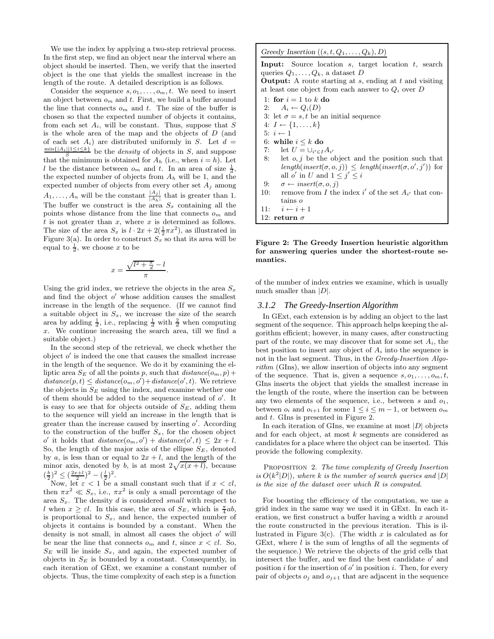We use the index by applying a two-step retrieval process. In the first step, we find an object near the interval where an object should be inserted. Then, we verify that the inserted object is the one that yields the smallest increase in the length of the route. A detailed description is as follows.

Consider the sequence  $s, o_1, \ldots, o_m, t$ . We need to insert an object between  $o_m$  and t. First, we build a buffer around the line that connects  $o_m$  and t. The size of the buffer is chosen so that the expected number of objects it contains, from each set  $A_i$ , will be constant. Thus, suppose that S is the whole area of the map and the objects of  $D$  (and of each set  $A_i$ ) are distributed uniformly in S. Let  $d =$  $\frac{\min\{|A_i||1\leq i\leq k\}}{S}$  be the *density* of objects in S, and suppose that the minimum is obtained for  $A_h$  (i.e., when  $i = h$ ). Let l be the distance between  $o_m$  and t. In an area of size  $\frac{1}{d}$ , the expected number of objects from  $A_h$  will be 1, and the expected number of objects from every other set  $A_j$  among  $A_1, \ldots, A_n$  will be the constant  $\frac{|A_j|}{|A_j|}$  $\frac{|A_j|}{|A_h|}$  that is greater than 1. The buffer we construct is the area  $S_x$  containing all the points whose distance from the line that connects  $o_m$  and  $t$  is not greater than  $x$ , where  $x$  is determined as follows. The size of the area  $S_x$  is  $l \cdot 2x + 2(\frac{1}{2}\pi x^2)$ , as illustrated in Figure 3(a). In order to construct  $S_x$  so that its area will be equal to  $\frac{1}{d}$ , we choose x to be

$$
x = \frac{\sqrt{l^2 + \frac{\pi}{d}} - l}{\pi}.
$$

Using the grid index, we retrieve the objects in the area  $S_x$ and find the object  $o'$  whose addition causes the smallest increase in the length of the sequence. (If we cannot find a suitable object in  $S_x$ , we increase the size of the search area by adding  $\frac{1}{d}$ , i.e., replacing  $\frac{1}{d}$  with  $\frac{2}{d}$  when computing x. We continue increasing the search area, till we find a suitable object.)

In the second step of the retrieval, we check whether the object  $o'$  is indeed the one that causes the smallest increase in the length of the sequence. We do it by examining the elliptic area  $S_E$  of all the points p, such that  $distance(o_m, p)$  +  $distance(p, t) \leq distance(o_m, o') + distance(o', t)$ . We retrieve the objects in  $S_E$  using the index, and examine whether one of them should be added to the sequence instead of  $o'$ . It is easy to see that for objects outside of  $S_E$ , adding them to the sequence will yield an increase in the length that is greater than the increase caused by inserting  $o'$ . According to the construction of the buffer  $S_x$ , for the chosen object o' it holds that  $distance(o_m, o') + distance(o', t) \leq 2x + l$ . So, the length of the major axis of the ellipse  $S_E$ , denoted by a, is less than or equal to  $2x + l$ , and the length of the minor axis, denoted by b, is at most  $2\sqrt{x(x+l)}$ , because  $(\frac{b}{2})^2 \leq (\frac{2x+l}{2})^2 - (\frac{l}{2})^2.$ 

Now, let  $\varepsilon$  < 1 be a small constant such that if  $x < \varepsilon l$ , then  $\pi x^2 \ll S_x$ , i.e.,  $\pi x^2$  is only a small percentage of the area  $S_x$ . The density d is considered small with respect to l when  $x \geq \varepsilon l$ . In this case, the area of  $S_E$ , which is  $\frac{\pi}{4}ab$ , is proportional to  $S_x$ , and hence, the expected number of objects it contains is bounded by a constant. When the density is not small, in almost all cases the object  $o'$  will be near the line that connects  $o_m$  and t, since  $x < \varepsilon l$ . So,  $S_E$  will lie inside  $S_x$ , and again, the expected number of objects in  $S_E$  is bounded by a constant. Consequently, in each iteration of GExt, we examine a constant number of objects. Thus, the time complexity of each step is a function

Greedy Insertion  $((s, t, Q_1, \ldots, Q_k), D)$ Input: Source location  $s$ , target location  $t$ , search queries  $Q_1, \ldots, Q_k$ , a dataset D **Output:** A route starting at  $s$ , ending at  $t$  and visiting at least one object from each answer to  $Q_i$  over  $D$ 1: for  $i = 1$  to k do 2:  $A_i \leftarrow Q_i(D)$ 3: let  $\sigma = s, t$  be an initial sequence 4:  $I \leftarrow \{1, \ldots, k\}$ 5:  $i \leftarrow 1$ 6: while  $i \leq k$  do 7: let  $U = \bigcup_{i' \in I} A_{i'}$ 8: let  $o, j$  be the object and the position such that  $length(insert(\sigma, o, j)) \leq length(insert(\sigma, o', j'))$  for all  $o'$  in U and  $1 \leq j' \leq i$ 9:  $\sigma \leftarrow insert(\sigma, o, j)$ 10: remove from I the index i' of the set  $A_{i'}$  that contains o 11:  $i \leftarrow i + 1$ 12: return  $\sigma$ 

## Figure 2: The Greedy Insertion heuristic algorithm for answering queries under the shortest-route semantics.

of the number of index entries we examine, which is usually much smaller than  $|D|$ .

## *3.1.2 The Greedy-Insertion Algorithm*

In GExt, each extension is by adding an object to the last segment of the sequence. This approach helps keeping the algorithm efficient; however, in many cases, after constructing part of the route, we may discover that for some set  $A_i$ , the best position to insert any object of  $A_i$  into the sequence is not in the last segment. Thus, in the Greedy-Insertion Algorithm (GIns), we allow insertion of objects into any segment of the sequence. That is, given a sequence  $s, o_1, \ldots, o_m, t$ , GIns inserts the object that yields the smallest increase in the length of the route, where the insertion can be between any two elements of the sequence, i.e., between s and  $o_1$ , between  $o_i$  and  $o_{i+1}$  for some  $1 \leq i \leq m-1$ , or between  $o_m$ and t. GIns is presented in Figure 2.

In each iteration of GIns, we examine at most  $|D|$  objects and for each object, at most k segments are considered as candidates for a place where the object can be inserted. This provide the following complexity.

PROPOSITION 2. The time complexity of Greedy Insertion is  $O(k^2|D|)$ , where k is the number of search queries and  $|D|$ is the size of the dataset over which R is computed.

For boosting the efficiency of the computation, we use a grid index in the same way we used it in GExt. In each iteration, we first construct a buffer having a width  $x$  around the route constructed in the previous iteration. This is illustrated in Figure 3(c). (The width x is calculated as for GExt, where  $l$  is the sum of lengths of all the segments of the sequence.) We retrieve the objects of the grid cells that intersect the buffer, and we find the best candidate  $o'$  and position i for the insertion of  $o'$  in position i. Then, for every pair of objects  $o_j$  and  $o_{j+1}$  that are adjacent in the sequence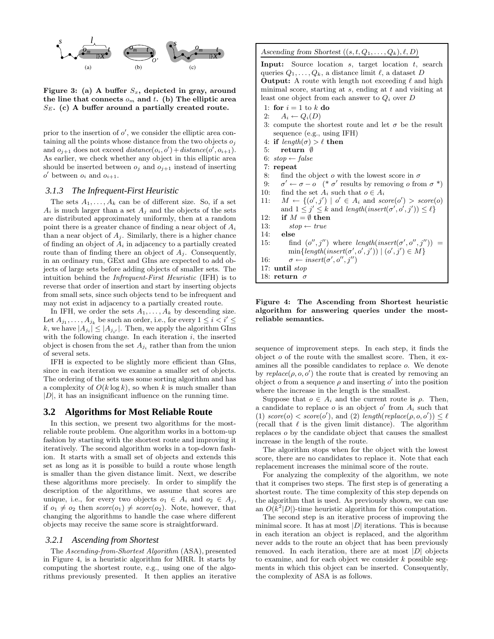

Figure 3: (a) A buffer  $S_x$ , depicted in gray, around the line that connects  $o_m$  and t. (b) The elliptic area  $S_E$ . (c) A buffer around a partially created route.

prior to the insertion of  $o'$ , we consider the elliptic area containing all the points whose distance from the two objects  $o_j$ and  $o_{j+1}$  does not exceed  $distance(o_i, o') + distance(o', o_{i+1})$ . As earlier, we check whether any object in this elliptic area should be inserted between  $o_j$  and  $o_{j+1}$  instead of inserting  $o'$  between  $o_i$  and  $o_{i+1}$ .

#### *3.1.3 The Infrequent-First Heuristic*

The sets  $A_1, \ldots, A_k$  can be of different size. So, if a set  $A_i$  is much larger than a set  $A_j$  and the objects of the sets are distributed approximately uniformly, then at a random point there is a greater chance of finding a near object of  $A_i$ than a near object of  $A_j$ . Similarly, there is a higher chance of finding an object of  $A_i$  in adjacency to a partially created route than of finding there an object of  $A_i$ . Consequently, in an ordinary run, GExt and GIns are expected to add objects of large sets before adding objects of smaller sets. The intuition behind the Infrequent-First Heuristic (IFH) is to reverse that order of insertion and start by inserting objects from small sets, since such objects tend to be infrequent and may not exist in adjacency to a partially created route.

In IFH, we order the sets  $A_1, \ldots, A_k$  by descending size. Let  $A_{j_1}, \ldots, A_{j_k}$  be such an order, i.e., for every  $1 \leq i < i' \leq$ k, we have  $|A_{j_i}| \leq |A_{j_{i'}}|$ . Then, we apply the algorithm GIns with the following change. In each iteration  $i$ , the inserted object is chosen from the set  $A_{j_i}$  rather than from the union of several sets.

IFH is expected to be slightly more efficient than GIns, since in each iteration we examine a smaller set of objects. The ordering of the sets uses some sorting algorithm and has a complexity of  $O(k \log k)$ , so when k is much smaller than  $|D|$ , it has an insignificant influence on the running time.

#### **3.2 Algorithms for Most Reliable Route**

In this section, we present two algorithms for the mostreliable route problem. One algorithm works in a bottom-up fashion by starting with the shortest route and improving it iteratively. The second algorithm works in a top-down fashion. It starts with a small set of objects and extends this set as long as it is possible to build a route whose length is smaller than the given distance limit. Next, we describe these algorithms more precisely. In order to simplify the description of the algorithms, we assume that scores are unique, i.e., for every two objects  $o_1 \in A_i$  and  $o_2 \in A_j$ , if  $o_1 \neq o_2$  then  $score(o_1) \neq score(o_2)$ . Note, however, that changing the algorithms to handle the case where different objects may receive the same score is straightforward.

#### *3.2.1 Ascending from Shortest*

The Ascending-from-Shortest Algorithm (ASA), presented in Figure 4, is a heuristic algorithm for MRR. It starts by computing the shortest route, e.g., using one of the algorithms previously presented. It then applies an iterative Ascending from Shortest  $((s, t, Q_1, \ldots, Q_k), \ell, D)$ 

Input: Source location  $s$ , target location  $t$ , search queries  $Q_1, \ldots, Q_k$ , a distance limit  $\ell$ , a dataset D **Output:** A route with length not exceeding  $\ell$  and high minimal score, starting at  $s$ , ending at  $t$  and visiting at least one object from each answer to  $Q_i$  over  $D$ 

- 1: for  $i = 1$  to k do
- 2:  $A_i \leftarrow Q_i(D)$
- 3: compute the shortest route and let  $\sigma$  be the result sequence (e.g., using IFH)
- 4: if  $length(\sigma) > \ell$  then
- 5: return ∅

6:  $stop \leftarrow false$ 

7: repeat

- 8: find the object *o* with the lowest score in  $\sigma$
- 9:  $\sigma' \leftarrow \sigma o \quad (* \sigma' \text{ results by removing } o \text{ from } \sigma^*)$
- 10: find the set  $A_i$  such that  $o \in A_i$
- 11:  $M \leftarrow \{ (o', j') \mid o' \in A_i \text{ and } score(o') > score(o)$ and  $1 \leq j' \leq k$  and  $length(insert(\sigma', \sigma', j')) \leq \ell$

12: if  $M = \emptyset$  then

13:  $stop \leftarrow true$ 

14: else

15: find  $(o'', j'')$  where length(insert( $\sigma', o'', j'')$ ) =  $\min\{length(insert(\sigma', \sigma', j')) \mid (\sigma', j') \in M\}$ 16:  $\sigma \leftarrow insert(\sigma', \sigma'', j'')$ 17: until stop 18: return  $\sigma$ 

#### Figure 4: The Ascending from Shortest heuristic algorithm for answering queries under the mostreliable semantics.

sequence of improvement steps. In each step, it finds the object o of the route with the smallest score. Then, it examines all the possible candidates to replace o. We denote by  $replace(\rho, o, o')$  the route that is created by removing an object  $o$  from a sequence  $\rho$  and inserting  $o'$  into the position where the increase in the length is the smallest.

Suppose that  $o \in A_i$  and the current route is  $\rho$ . Then, a candidate to replace  $o$  is an object  $o'$  from  $A_i$  such that (1)  $score(o) < score(o')$ , and (2)  $length(replace(\rho, o, o')) \leq \ell$ (recall that  $\ell$  is the given limit distance). The algorithm replaces o by the candidate object that causes the smallest increase in the length of the route.

The algorithm stops when for the object with the lowest score, there are no candidates to replace it. Note that each replacement increases the minimal score of the route.

For analyzing the complexity of the algorithm, we note that it comprises two steps. The first step is of generating a shortest route. The time complexity of this step depends on the algorithm that is used. As previously shown, we can use an  $O(k^2|D|)$ -time heuristic algorithm for this computation.

The second step is an iterative process of improving the minimal score. It has at most  $|D|$  iterations. This is because in each iteration an object is replaced, and the algorithm never adds to the route an object that has been previously removed. In each iteration, there are at most  $|D|$  objects to examine, and for each object we consider  $k$  possible segments in which this object can be inserted. Consequently, the complexity of ASA is as follows.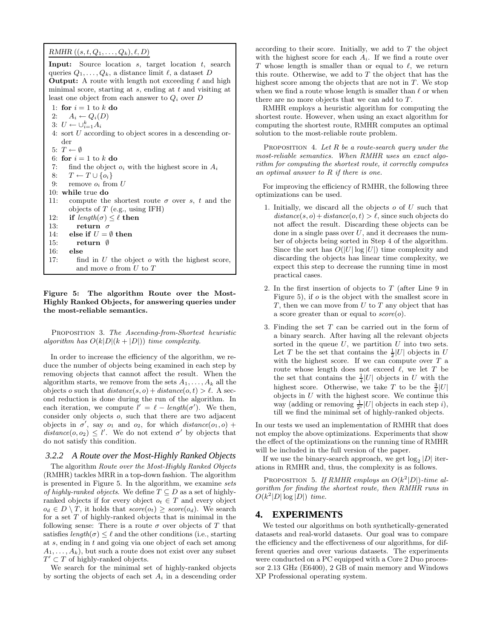RMHR  $((s, t, Q_1, \ldots, Q_k), \ell, D)$ Input: Source location  $s$ , target location  $t$ , search queries  $Q_1, \ldots, Q_k$ , a distance limit  $\ell$ , a dataset D **Output:** A route with length not exceeding  $\ell$  and high minimal score, starting at  $s$ , ending at  $t$  and visiting at least one object from each answer to  $Q_i$  over  $D$ 1: for  $i = 1$  to  $k$  do 2:  $A_i \leftarrow Q_i(D)$ 3:  $U \leftarrow \bigcup_{i=1}^{k} A_i$ 4: sort U according to object scores in a descending order 5:  $T \leftarrow \emptyset$ 6: for  $i = 1$  to  $k$  do 7: find the object  $o_i$  with the highest score in  $A_i$ 8:  $T \leftarrow T \cup \{o_i\}$ 9: remove  $o_i$  from  $U$ 10: while true do 11: compute the shortest route  $\sigma$  over s, t and the objects of  $T$  (e.g., using IFH) 12: if  $length(\sigma) \leq \ell$  then 13: return  $\sigma$ 14: else if  $U = \emptyset$  then 15: return ∅ 16: else 17: find in  $U$  the object  $o$  with the highest score, and move  $o$  from  $U$  to  $T$ 

Figure 5: The algorithm Route over the Most-Highly Ranked Objects, for answering queries under the most-reliable semantics.

Proposition 3. The Ascending-from-Shortest heuristic algorithm has  $O(k|D|(k + |D|))$  time complexity.

In order to increase the efficiency of the algorithm, we reduce the number of objects being examined in each step by removing objects that cannot affect the result. When the algorithm starts, we remove from the sets  $A_1, \ldots, A_k$  all the objects o such that  $distance(s, o) + distance(o, t) > l$ . A second reduction is done during the run of the algorithm. In each iteration, we compute  $l' = \ell - length(\sigma')$ . We then, consider only objects o, such that there are two adjacent objects in  $\sigma'$ , say  $o_1$  and  $o_2$ , for which  $distance(o_1, o)$  +  $distance(o, o_2) \leq l'$ . We do not extend  $\sigma'$  by objects that do not satisfy this condition.

#### *3.2.2 A Route over the Most-Highly Ranked Objects*

The algorithm Route over the Most-Highly Ranked Objects (RMHR) tackles MRR in a top-down fashion. The algorithm is presented in Figure 5. In the algorithm, we examine sets of highly-ranked objects. We define  $T \subseteq D$  as a set of highlyranked objects if for every object  $o_t \in T$  and every object  $o_d \in D \setminus T$ , it holds that  $score(o_t) > score(o_d)$ . We search for a set  $T$  of highly-ranked objects that is minimal in the following sense: There is a route  $\sigma$  over objects of T that satisfies  $length(\sigma) \leq \ell$  and the other conditions (i.e., starting at s, ending in t and going via one object of each set among  $A_1, \ldots, A_k$ , but such a route does not exist over any subset  $T' \subset T$  of highly-ranked objects.

We search for the minimal set of highly-ranked objects by sorting the objects of each set  $A_i$  in a descending order according to their score. Initially, we add to  $T$  the object with the highest score for each  $A_i$ . If we find a route over T whose length is smaller than or equal to  $\ell$ , we return this route. Otherwise, we add to  $T$  the object that has the highest score among the objects that are not in  $T$ . We stop when we find a route whose length is smaller than  $\ell$  or when there are no more objects that we can add to T.

RMHR employs a heuristic algorithm for computing the shortest route. However, when using an exact algorithm for computing the shortest route, RMHR computes an optimal solution to the most-reliable route problem.

PROPOSITION 4. Let  $R$  be a route-search query under the most-reliable semantics. When RMHR uses an exact algorithm for computing the shortest route, it correctly computes an optimal answer to R if there is one.

For improving the efficiency of RMHR, the following three optimizations can be used.

- 1. Initially, we discard all the objects  $o$  of  $U$  such that  $distance(s, o) + distance(o, t) > l$ , since such objects do not affect the result. Discarding these objects can be done in a single pass over  $U$ , and it decreases the number of objects being sorted in Step 4 of the algorithm. Since the sort has  $O(|U| \log |U|)$  time complexity and discarding the objects has linear time complexity, we expect this step to decrease the running time in most practical cases.
- 2. In the first insertion of objects to  $T$  (after Line 9 in Figure 5), if o is the object with the smallest score in  $T$ , then we can move from  $U$  to  $T$  any object that has a score greater than or equal to  $score(o)$ .
- 3. Finding the set T can be carried out in the form of a binary search. After having all the relevant objects sorted in the queue  $U$ , we partition  $U$  into two sets. Let T be the set that contains the  $\frac{1}{2}|U|$  objects in U with the highest score. If we can compute over  $T$  a route whose length does not exceed  $\ell$ , we let T be the set that contains the  $\frac{1}{4}|U|$  objects in U with the highest score. Otherwise, we take  $T$  to be the  $\frac{3}{4}|U|$ objects in  $U$  with the highest score. We continue this way (adding or removing  $\frac{1}{2^i}|U|$  objects in each step i), till we find the minimal set of highly-ranked objects.

In our tests we used an implementation of RMHR that does not employ the above optimizations. Experiments that show the effect of the optimizations on the running time of RMHR will be included in the full version of the paper.

If we use the binary-search approach, we get  $log_2|D|$  iterations in RMHR and, thus, the complexity is as follows.

PROPOSITION 5. If RMHR employs an  $O(k^2|D|)$ -time algorithm for finding the shortest route, then RMHR runs in  $O(k^2|D|\log|D|)$  time.

# **4. EXPERIMENTS**

We tested our algorithms on both synthetically-generated datasets and real-world datasets. Our goal was to compare the efficiency and the effectiveness of our algorithms, for different queries and over various datasets. The experiments were conducted on a PC equipped with a Core 2 Duo processor 2.13 GHz (E6400), 2 GB of main memory and Windows XP Professional operating system.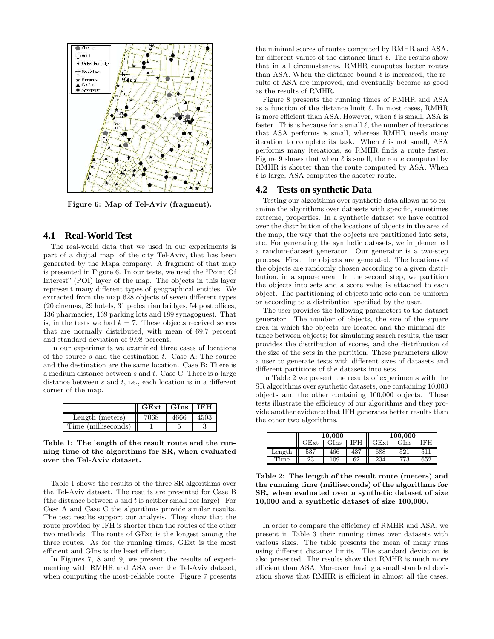

Figure 6: Map of Tel-Aviv (fragment).

## **4.1 Real-World Test**

The real-world data that we used in our experiments is part of a digital map, of the city Tel-Aviv, that has been generated by the Mapa company. A fragment of that map is presented in Figure 6. In our tests, we used the "Point Of Interest" (POI) layer of the map. The objects in this layer represent many different types of geographical entities. We extracted from the map 628 objects of seven different types (20 cinemas, 29 hotels, 31 pedestrian bridges, 54 post offices, 136 pharmacies, 169 parking lots and 189 synagogues). That is, in the tests we had  $k = 7$ . These objects received scores that are normally distributed, with mean of 69.7 percent and standard deviation of 9.98 percent.

In our experiments we examined three cases of locations of the source  $s$  and the destination  $t$ . Case A: The source and the destination are the same location. Case B: There is a medium distance between s and t. Case C: There is a large distance between  $s$  and  $t$ , i.e., each location is in a different corner of the map.

|                     | GExt   GIns   IFH |  |
|---------------------|-------------------|--|
| Length (meters)     | 4666              |  |
| Time (milliseconds) |                   |  |

Table 1: The length of the result route and the running time of the algorithms for SR, when evaluated over the Tel-Aviv dataset.

Table 1 shows the results of the three SR algorithms over the Tel-Aviv dataset. The results are presented for Case B (the distance between  $s$  and  $t$  is neither small nor large). For Case A and Case C the algorithms provide similar results. The test results support our analysis. They show that the route provided by IFH is shorter than the routes of the other two methods. The route of GExt is the longest among the three routes. As for the running times, GExt is the most efficient and GIns is the least efficient.

In Figures 7, 8 and 9, we present the results of experimenting with RMHR and ASA over the Tel-Aviv dataset, when computing the most-reliable route. Figure 7 presents the minimal scores of routes computed by RMHR and ASA, for different values of the distance limit  $\ell$ . The results show that in all circumstances, RMHR computes better routes than ASA. When the distance bound  $\ell$  is increased, the results of ASA are improved, and eventually become as good as the results of RMHR.

Figure 8 presents the running times of RMHR and ASA as a function of the distance limit  $\ell$ . In most cases, RMHR is more efficient than ASA. However, when  $\ell$  is small, ASA is faster. This is because for a small  $\ell$ , the number of iterations that ASA performs is small, whereas RMHR needs many iteration to complete its task. When  $\ell$  is not small, ASA performs many iterations, so RMHR finds a route faster. Figure 9 shows that when  $\ell$  is small, the route computed by RMHR is shorter than the route computed by ASA. When  $\ell$  is large, ASA computes the shorter route.

#### **4.2 Tests on synthetic Data**

Testing our algorithms over synthetic data allows us to examine the algorithms over datasets with specific, sometimes extreme, properties. In a synthetic dataset we have control over the distribution of the locations of objects in the area of the map, the way that the objects are partitioned into sets, etc. For generating the synthetic datasets, we implemented a random-dataset generator. Our generator is a two-step process. First, the objects are generated. The locations of the objects are randomly chosen according to a given distribution, in a square area. In the second step, we partition the objects into sets and a score value is attached to each object. The partitioning of objects into sets can be uniform or according to a distribution specified by the user.

The user provides the following parameters to the dataset generator. The number of objects, the size of the square area in which the objects are located and the minimal distance between objects; for simulating search results, the user provides the distribution of scores, and the distribution of the size of the sets in the partition. These parameters allow a user to generate tests with different sizes of datasets and different partitions of the datasets into sets.

In Table 2 we present the results of experiments with the SR algorithms over synthetic datasets, one containing 10,000 objects and the other containing 100,000 objects. These tests illustrate the efficiency of our algorithms and they provide another evidence that IFH generates better results than the other two algorithms.

|              | 10,000 |     |     | 100,000  |           |     |
|--------------|--------|-----|-----|----------|-----------|-----|
|              |        | Ins |     |          | Ins       |     |
| Length       | 537    | 466 | 437 | 688<br>Ш | 521       | 511 |
| $\Gamma$ ime | 23     | 109 | 62  | 234      | 779<br>۵. | 652 |

Table 2: The length of the result route (meters) and the running time (milliseconds) of the algorithms for SR, when evaluated over a synthetic dataset of size 10,000 and a synthetic dataset of size 100,000.

In order to compare the efficiency of RMHR and ASA, we present in Table 3 their running times over datasets with various sizes. The table presents the mean of many runs using different distance limits. The standard deviation is also presented. The results show that RMHR is much more efficient than ASA. Moreover, having a small standard deviation shows that RMHR is efficient in almost all the cases.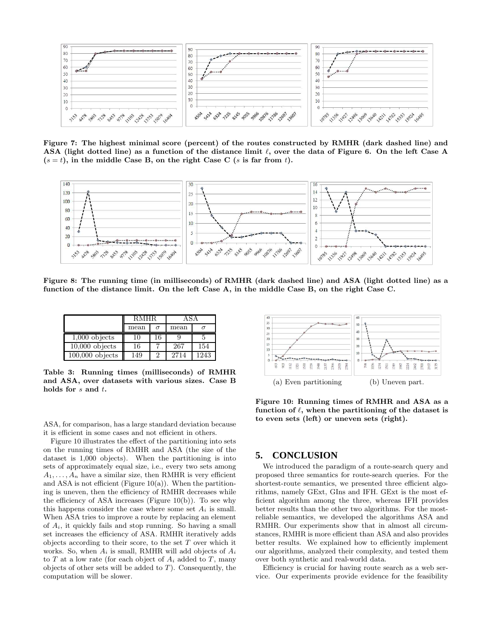

Figure 7: The highest minimal score (percent) of the routes constructed by RMHR (dark dashed line) and ASA (light dotted line) as a function of the distance limit  $\ell$ , over the data of Figure 6. On the left Case A  $(s = t)$ , in the middle Case B, on the right Case C (s is far from t).



Figure 8: The running time (in milliseconds) of RMHR (dark dashed line) and ASA (light dotted line) as a function of the distance limit. On the left Case A, in the middle Case B, on the right Case C.

|                   | RMHR. |          | ASA  |      |  |
|-------------------|-------|----------|------|------|--|
|                   | mean  | $\sigma$ | mean |      |  |
| $1,000$ objects   | 10    | 16       |      |      |  |
| $10,000$ objects  | 16    |          | 267  | 154  |  |
| $100,000$ objects | 149   | 2        | 2714 | 1243 |  |

Table 3: Running times (milliseconds) of RMHR and ASA, over datasets with various sizes. Case B holds for  $s$  and  $t$ .

ASA, for comparison, has a large standard deviation because it is efficient in some cases and not efficient in others.

Figure 10 illustrates the effect of the partitioning into sets on the running times of RMHR and ASA (the size of the dataset is 1,000 objects). When the partitioning is into sets of approximately equal size, i.e., every two sets among  $A_1, \ldots, A_n$  have a similar size, then RMHR is very efficient and ASA is not efficient (Figure  $10(a)$ ). When the partitioning is uneven, then the efficiency of RMHR decreases while the efficiency of ASA increases (Figure  $10(b)$ ). To see why this happens consider the case where some set  $A_i$  is small. When ASA tries to improve a route by replacing an element of  $A_i$ , it quickly fails and stop running. So having a small set increases the efficiency of ASA. RMHR iteratively adds objects according to their score, to the set  $T$  over which it works. So, when  $A_i$  is small, RMHR will add objects of  $A_i$ to T at a low rate (for each object of  $A_i$  added to T, many objects of other sets will be added to  $T$ ). Consequently, the computation will be slower.



Figure 10: Running times of RMHR and ASA as a function of  $\ell$ , when the partitioning of the dataset is to even sets (left) or uneven sets (right).

# **5. CONCLUSION**

We introduced the paradigm of a route-search query and proposed three semantics for route-search queries. For the shortest-route semantics, we presented three efficient algorithms, namely GExt, GIns and IFH. GExt is the most efficient algorithm among the three, whereas IFH provides better results than the other two algorithms. For the mostreliable semantics, we developed the algorithms ASA and RMHR. Our experiments show that in almost all circumstances, RMHR is more efficient than ASA and also provides better results. We explained how to efficiently implement our algorithms, analyzed their complexity, and tested them over both synthetic and real-world data.

Efficiency is crucial for having route search as a web service. Our experiments provide evidence for the feasibility